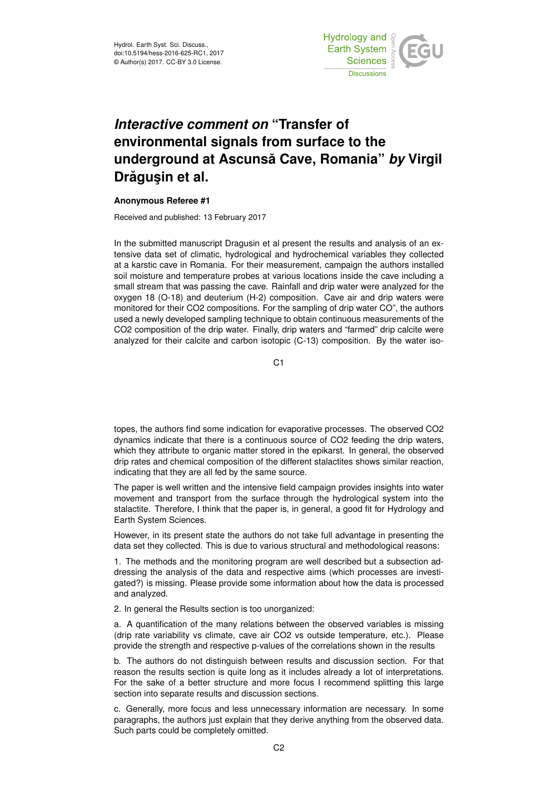

## *Interactive comment on* **"Transfer of environmental signals from surface to the underground at Ascunsa Cave, Romania" ˘** *by* **Virgil Drăgușin et al.**

## **Anonymous Referee #1**

Received and published: 13 February 2017

In the submitted manuscript Dragusin et al present the results and analysis of an extensive data set of climatic, hydrological and hydrochemical variables they collected at a karstic cave in Romania. For their measurement, campaign the authors installed soil moisture and temperature probes at various locations inside the cave including a small stream that was passing the cave. Rainfall and drip water were analyzed for the oxygen 18 (O-18) and deuterium (H-2) composition. Cave air and drip waters were monitored for their CO2 compositions. For the sampling of drip water CO", the authors used a newly developed sampling technique to obtain continuous measurements of the CO2 composition of the drip water. Finally, drip waters and "farmed" drip calcite were analyzed for their calcite and carbon isotopic (C-13) composition. By the water iso-

C1

topes, the authors find some indication for evaporative processes. The observed CO2 dynamics indicate that there is a continuous source of CO2 feeding the drip waters, which they attribute to organic matter stored in the epikarst. In general, the observed drip rates and chemical composition of the different stalactites shows similar reaction, indicating that they are all fed by the same source.

The paper is well written and the intensive field campaign provides insights into water movement and transport from the surface through the hydrological system into the stalactite. Therefore, I think that the paper is, in general, a good fit for Hydrology and Earth System Sciences.

However, in its present state the authors do not take full advantage in presenting the data set they collected. This is due to various structural and methodological reasons:

1. The methods and the monitoring program are well described but a subsection addressing the analysis of the data and respective aims (which processes are investigated?) is missing. Please provide some information about how the data is processed and analyzed.

2. In general the Results section is too unorganized:

a. A quantification of the many relations between the observed variables is missing (drip rate variability vs climate, cave air CO2 vs outside temperature, etc.). Please provide the strength and respective p-values of the correlations shown in the results

b. The authors do not distinguish between results and discussion section. For that reason the results section is quite long as it includes already a lot of interpretations. For the sake of a better structure and more focus I recommend splitting this large section into separate results and discussion sections.

c. Generally, more focus and less unnecessary information are necessary. In some paragraphs, the authors just explain that they derive anything from the observed data. Such parts could be completely omitted.